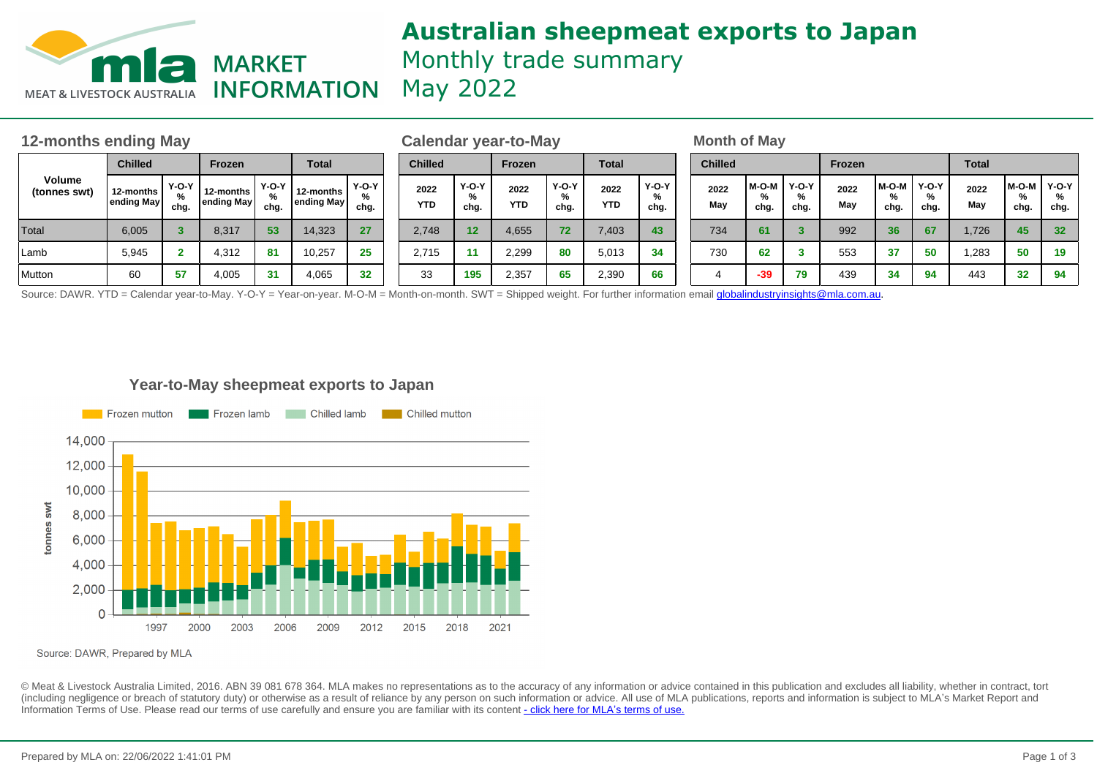

# **Australian sheepmeat exports to Japan** Monthly trade summary May 2022

| 12-months ending May   |                         |                      |                         |                 |                         |                      |                    | Calendar year-to-May |                    |                      |                    |                      |  |                | <b>Month of May</b> |                      |             |                      |                      |              |               |                    |  |  |
|------------------------|-------------------------|----------------------|-------------------------|-----------------|-------------------------|----------------------|--------------------|----------------------|--------------------|----------------------|--------------------|----------------------|--|----------------|---------------------|----------------------|-------------|----------------------|----------------------|--------------|---------------|--------------------|--|--|
| Volume<br>(tonnes swt) | <b>Chilled</b>          |                      | Frozen                  |                 | <b>Total</b>            |                      | <b>Chilled</b>     |                      | Frozen             |                      | <b>Total</b>       |                      |  | <b>Chilled</b> |                     |                      | Frozen      |                      |                      | <b>Total</b> |               |                    |  |  |
|                        | 12-months<br>ending May | $Y-O-Y$<br>%<br>chg. | 12-months<br>ending May | Y-O-Y I<br>chg. | 12-months<br>ending May | $Y-O-Y$<br>%<br>chg. | 2022<br><b>YTD</b> | $Y-O-Y$<br>%<br>chg. | 2022<br><b>YTD</b> | $Y-O-Y$<br>%<br>chg. | 2022<br><b>YTD</b> | $Y-O-Y$<br>%<br>chg. |  | 2022<br>May    | M-O-M<br>%<br>chg.  | $Y-O-Y$<br>%<br>chg. | 2022<br>May | $M-O-M$<br>%<br>chg. | $Y-O-Y$<br>%<br>chg. | 2022<br>May  | M-O-M<br>chg. | Y-O-Y<br>%<br>chg. |  |  |
| Total                  | 6,005                   |                      | 8,317                   | 53              | 14,323                  | 27                   | 2.748              | 12                   | 4,655              | 72                   | 7,403              | 43                   |  | 734            | 61                  |                      | 992         | 36 <sup>°</sup>      | 67                   | 1,726        | 45            | 32 <sup>°</sup>    |  |  |
| Lamb                   | 5,945                   |                      | 4,312                   | 81              | 10,257                  | 25                   | 2.715              | 11                   | 2,299              | 80                   | 5,013              | 34                   |  | 730            | 62                  |                      | 553         | 37                   | 50                   | 1,283        | 50            | 19                 |  |  |
| Mutton                 | 60                      | 57                   | 4,005                   | 31              | 4,065                   | 32                   | 33                 | 195                  | 2,357              | 65                   | 2,390              | 66                   |  |                | $-39$               | 79                   | 439         | 34                   | 94                   | 443          | 32            | 94                 |  |  |

Source: DAWR. YTD = Calendar year-to-May. Y-O-Y = Year-on-year. M-O-M = Month-on-month. SWT = Shipped weight. For further information email **globalindustryinsights@mla.com.au.** 

## **Year-to-May sheepmeat exports to Japan**



Source: DAWR, Prepared by MLA

© Meat & Livestock Australia Limited, 2016. ABN 39 081 678 364. MLA makes no representations as to the accuracy of any information or advice contained in this publication and excludes all liability, whether in contract, tort (including negligence or breach of statutory duty) or otherwise as a result of reliance by any person on such information or advice. All use of MLA publications, reports and information is subject to MLA's Market Report an Information Terms of Use. Please read our terms of use carefully and ensure you are familiar with its content [- click here for MLA](http://www.mla.com.au/files/edae0364-a185-4a6f-9dff-a42700d1463a/MLA-Market-Report-and-Information-Terms-of-use-Dec-2014.pdf)'[s terms of use.](http://www.mla.com.au/files/edae0364-a185-4a6f-9dff-a42700d1463a/MLA-Market-Report-and-Information-Terms-of-use-Dec-2014.pdf)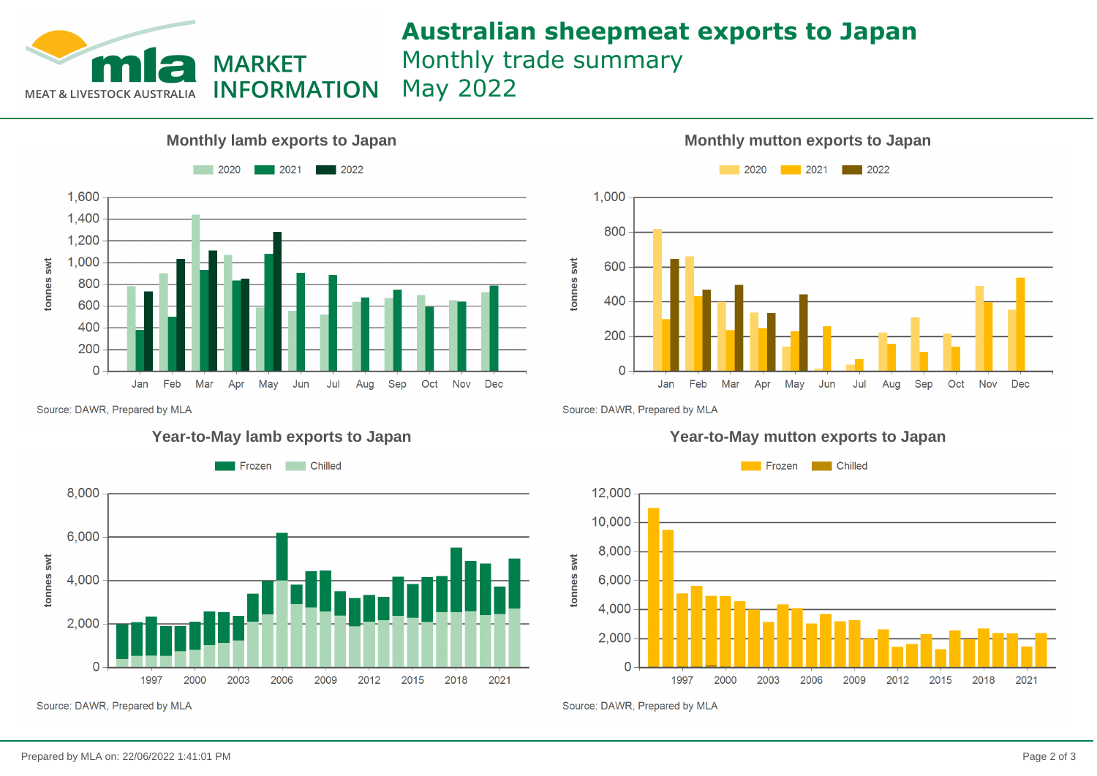

# **Australian sheepmeat exports to Japan** Monthly trade summary

May 2022





Source: DAWR, Prepared by MLA



Source: DAWR, Prepared by MLA

## **Year-to-May lamb exports to Japan Year-to-May mutton exports to Japan**



Source: DAWR, Prepared by MLA